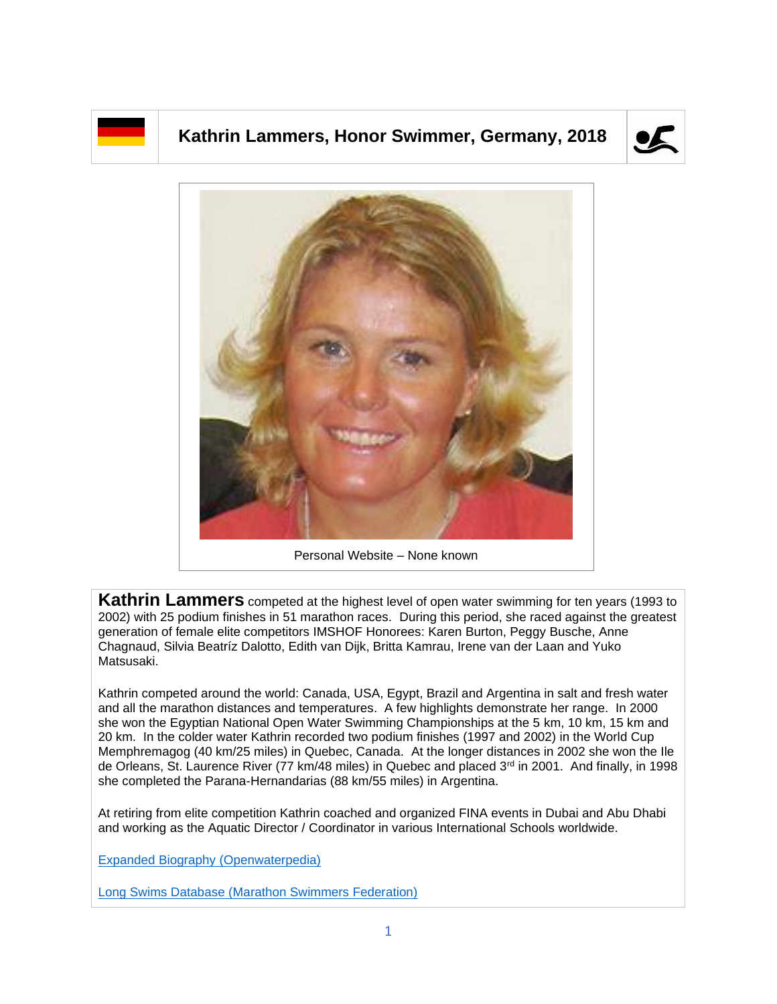## **Kathrin Lammers, Honor Swimmer, Germany, 2018**





Personal Website – None known

**Kathrin Lammers** competed at the highest level of open water swimming for ten years (1993 to 2002) with 25 podium finishes in 51 marathon races. During this period, she raced against the greatest generation of female elite competitors IMSHOF Honorees: Karen Burton, Peggy Busche, Anne Chagnaud, Silvia Beatríz Dalotto, Edith van Dijk, Britta Kamrau, Irene van der Laan and Yuko Matsusaki.

Kathrin competed around the world: Canada, USA, Egypt, Brazil and Argentina in salt and fresh water and all the marathon distances and temperatures. A few highlights demonstrate her range. In 2000 she won the Egyptian National Open Water Swimming Championships at the 5 km, 10 km, 15 km and 20 km. In the colder water Kathrin recorded two podium finishes (1997 and 2002) in the World Cup Memphremagog (40 km/25 miles) in Quebec, Canada. At the longer distances in 2002 she won the Ile de Orleans, St. Laurence River (77 km/48 miles) in Quebec and placed 3<sup>rd</sup> in 2001. And finally, in 1998 she completed the Parana-Hernandarias (88 km/55 miles) in Argentina.

At retiring from elite competition Kathrin coached and organized FINA events in Dubai and Abu Dhabi and working as the Aquatic Director / Coordinator in various International Schools worldwide.

[Expanded Biography](https://www.openwaterpedia.com/index.php?title=Kathrin_Lammers) (Openwaterpedia)

Long Swims Database [\(Marathon Swimmers Federation\)](https://db.marathonswimmers.org/p/kathrin-lammers/)